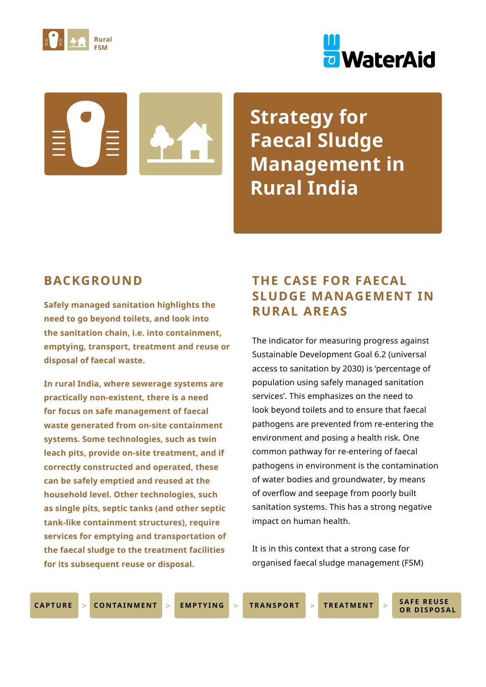



**Strategy for Faecal Sludge Management in Rural India**

# **BACKGROUND**

**Safely managed sanitation highlights the need to go beyond toilets, and look into the sanitation chain, i.e. into containment, emptying, transport, treatment and reuse or disposal of faecal waste.**

**In rural India, where sewerage systems are practically non-existent, there is a need for focus on safe management of faecal waste generated from on-site containment systems. Some technologies, such as twin leach pits, provide on-site treatment, and if correctly constructed and operated, these can be safely emptied and reused at the household level. Other technologies, such as single pits, septic tanks (and other septic tank-like containment structures), require services for emptying and transportation of the faecal sludge to the treatment facilities for its subsequent reuse or disposal.**

# **THE CASE FOR FAECAL SLUDGE MANAGEMENT IN RURAL AREAS**

The indicator for measuring progress against Sustainable Development Goal 6.2 (universal access to sanitation by 2030) is 'percentage of population using safely managed sanitation services'. This emphasizes on the need to look beyond toilets and to ensure that faecal pathogens are prevented from re-entering the environment and posing a health risk. One common pathway for re-entering of faecal pathogens in environment is the contamination of water bodies and groundwater, by means of overflow and seepage from poorly built sanitation systems. This has a strong negative impact on human health.

It is in this context that a strong case for organised faecal sludge management (FSM)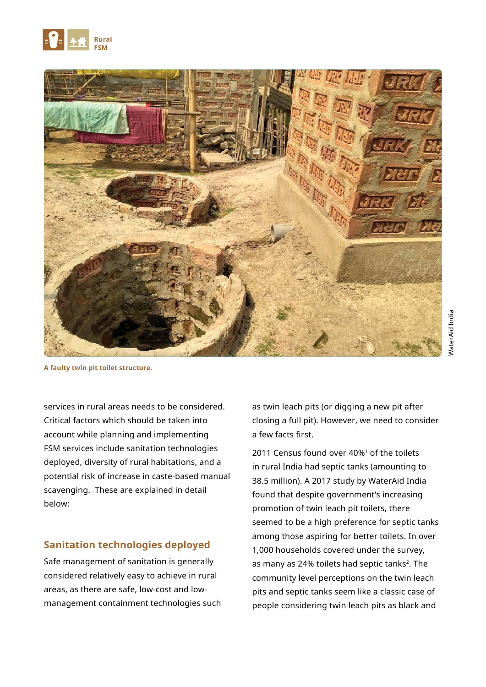



**A faulty twin pit toilet structure.**

services in rural areas needs to be considered. Critical factors which should be taken into account while planning and implementing FSM services include sanitation technologies deployed, diversity of rural habitations, and a potential risk of increase in caste-based manual scavenging. These are explained in detail below:

## **Sanitation technologies deployed**

Safe management of sanitation is generally considered relatively easy to achieve in rural areas, as there are safe, low-cost and lowmanagement containment technologies such as twin leach pits (or digging a new pit after closing a full pit). However, we need to consider a few facts first.

2011 Census found over 40%1 of the toilets in rural India had septic tanks (amounting to 38.5 million). A 2017 study by WaterAid India found that despite government's increasing promotion of twin leach pit toilets, there seemed to be a high preference for septic tanks among those aspiring for better toilets. In over 1,000 households covered under the survey, as many as 24% toilets had septic tanks<sup>2</sup>. The community level perceptions on the twin leach pits and septic tanks seem like a classic case of people considering twin leach pits as black and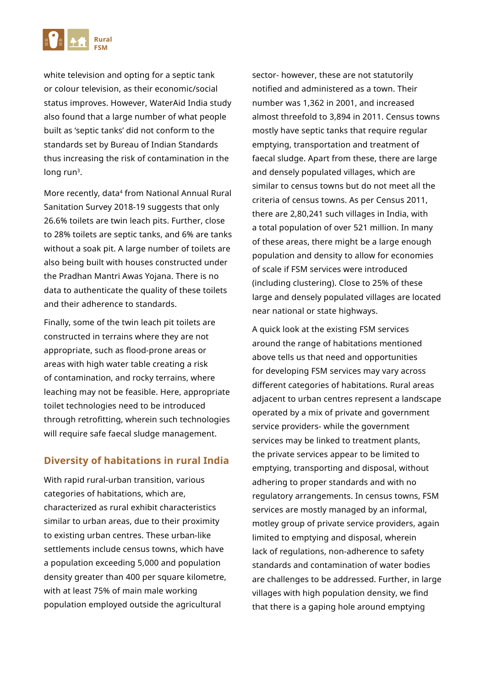

white television and opting for a septic tank or colour television, as their economic/social status improves. However, WaterAid India study also found that a large number of what people built as 'septic tanks' did not conform to the standards set by Bureau of Indian Standards thus increasing the risk of contamination in the long run<sup>3</sup>.

More recently, data<sup>4</sup> from National Annual Rural Sanitation Survey 2018-19 suggests that only 26.6% toilets are twin leach pits. Further, close to 28% toilets are septic tanks, and 6% are tanks without a soak pit. A large number of toilets are also being built with houses constructed under the Pradhan Mantri Awas Yojana. There is no data to authenticate the quality of these toilets and their adherence to standards.

Finally, some of the twin leach pit toilets are constructed in terrains where they are not appropriate, such as flood-prone areas or areas with high water table creating a risk of contamination, and rocky terrains, where leaching may not be feasible. Here, appropriate toilet technologies need to be introduced through retrofitting, wherein such technologies will require safe faecal sludge management.

#### **Diversity of habitations in rural India**

With rapid rural-urban transition, various categories of habitations, which are, characterized as rural exhibit characteristics similar to urban areas, due to their proximity to existing urban centres. These urban-like settlements include census towns, which have a population exceeding 5,000 and population density greater than 400 per square kilometre, with at least 75% of main male working population employed outside the agricultural

sector- however, these are not statutorily notified and administered as a town. Their number was 1,362 in 2001, and increased almost threefold to 3,894 in 2011. Census towns mostly have septic tanks that require regular emptying, transportation and treatment of faecal sludge. Apart from these, there are large and densely populated villages, which are similar to census towns but do not meet all the criteria of census towns. As per Census 2011, there are 2,80,241 such villages in India, with a total population of over 521 million. In many of these areas, there might be a large enough population and density to allow for economies of scale if FSM services were introduced (including clustering). Close to 25% of these large and densely populated villages are located near national or state highways.

A quick look at the existing FSM services around the range of habitations mentioned above tells us that need and opportunities for developing FSM services may vary across different categories of habitations. Rural areas adjacent to urban centres represent a landscape operated by a mix of private and government service providers- while the government services may be linked to treatment plants, the private services appear to be limited to emptying, transporting and disposal, without adhering to proper standards and with no regulatory arrangements. In census towns, FSM services are mostly managed by an informal, motley group of private service providers, again limited to emptying and disposal, wherein lack of regulations, non-adherence to safety standards and contamination of water bodies are challenges to be addressed. Further, in large villages with high population density, we find that there is a gaping hole around emptying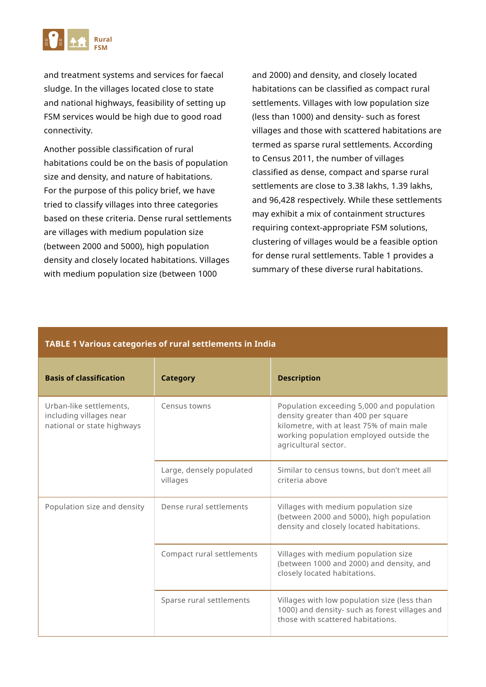

and treatment systems and services for faecal sludge. In the villages located close to state and national highways, feasibility of setting up FSM services would be high due to good road connectivity.

Another possible classification of rural habitations could be on the basis of population size and density, and nature of habitations. For the purpose of this policy brief, we have tried to classify villages into three categories based on these criteria. Dense rural settlements are villages with medium population size (between 2000 and 5000), high population density and closely located habitations. Villages with medium population size (between 1000

and 2000) and density, and closely located habitations can be classified as compact rural settlements. Villages with low population size (less than 1000) and density- such as forest villages and those with scattered habitations are termed as sparse rural settlements. According to Census 2011, the number of villages classified as dense, compact and sparse rural settlements are close to 3.38 lakhs, 1.39 lakhs, and 96,428 respectively. While these settlements may exhibit a mix of containment structures requiring context-appropriate FSM solutions, clustering of villages would be a feasible option for dense rural settlements. Table 1 provides a summary of these diverse rural habitations.

| <b>TABLE 1 Various categories of rural settlements in India</b>                  |                                      |                                                                                                                                                                                                  |  |  |  |  |
|----------------------------------------------------------------------------------|--------------------------------------|--------------------------------------------------------------------------------------------------------------------------------------------------------------------------------------------------|--|--|--|--|
| <b>Basis of classification</b>                                                   | <b>Category</b>                      | <b>Description</b>                                                                                                                                                                               |  |  |  |  |
| Urban-like settlements,<br>including villages near<br>national or state highways | Census towns                         | Population exceeding 5,000 and population<br>density greater than 400 per square<br>kilometre, with at least 75% of main male<br>working population employed outside the<br>agricultural sector. |  |  |  |  |
|                                                                                  | Large, densely populated<br>villages | Similar to census towns, but don't meet all<br>criteria above                                                                                                                                    |  |  |  |  |
| Population size and density                                                      | Dense rural settlements              | Villages with medium population size<br>(between 2000 and 5000), high population<br>density and closely located habitations.                                                                     |  |  |  |  |
|                                                                                  | Compact rural settlements            | Villages with medium population size<br>(between 1000 and 2000) and density, and<br>closely located habitations.                                                                                 |  |  |  |  |
|                                                                                  | Sparse rural settlements             | Villages with low population size (less than<br>1000) and density- such as forest villages and<br>those with scattered habitations.                                                              |  |  |  |  |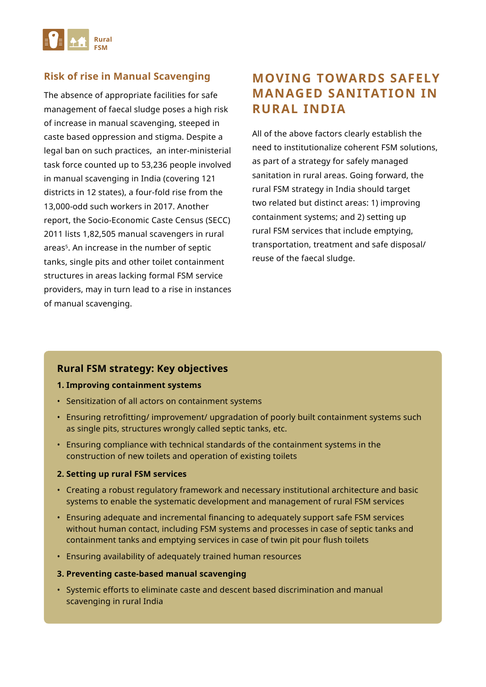

## **Risk of rise in Manual Scavenging**

The absence of appropriate facilities for safe management of faecal sludge poses a high risk of increase in manual scavenging, steeped in caste based oppression and stigma. Despite a legal ban on such practices, an inter-ministerial task force counted up to 53,236 people involved in manual scavenging in India (covering 121 districts in 12 states), a four-fold rise from the 13,000-odd such workers in 2017. Another report, the Socio-Economic Caste Census (SECC) 2011 lists 1,82,505 manual scavengers in rural areas5. An increase in the number of septic tanks, single pits and other toilet containment structures in areas lacking formal FSM service providers, may in turn lead to a rise in instances of manual scavenging.

# **MOVING TOWARDS SAFELY MANAGED SANITATION IN RURAL INDIA**

All of the above factors clearly establish the need to institutionalize coherent FSM solutions, as part of a strategy for safely managed sanitation in rural areas. Going forward, the rural FSM strategy in India should target two related but distinct areas: 1) improving containment systems; and 2) setting up rural FSM services that include emptying, transportation, treatment and safe disposal/ reuse of the faecal sludge.

## **Rural FSM strategy: Key objectives**

- **1. Improving containment systems**
- Sensitization of all actors on containment systems
- Ensuring retrofitting/ improvement/ upgradation of poorly built containment systems such as single pits, structures wrongly called septic tanks, etc.
- Ensuring compliance with technical standards of the containment systems in the construction of new toilets and operation of existing toilets

#### **2. Setting up rural FSM services**

- Creating a robust regulatory framework and necessary institutional architecture and basic systems to enable the systematic development and management of rural FSM services
- Ensuring adequate and incremental financing to adequately support safe FSM services without human contact, including FSM systems and processes in case of septic tanks and containment tanks and emptying services in case of twin pit pour flush toilets
- Ensuring availability of adequately trained human resources

#### **3. Preventing caste-based manual scavenging**

• Systemic efforts to eliminate caste and descent based discrimination and manual scavenging in rural India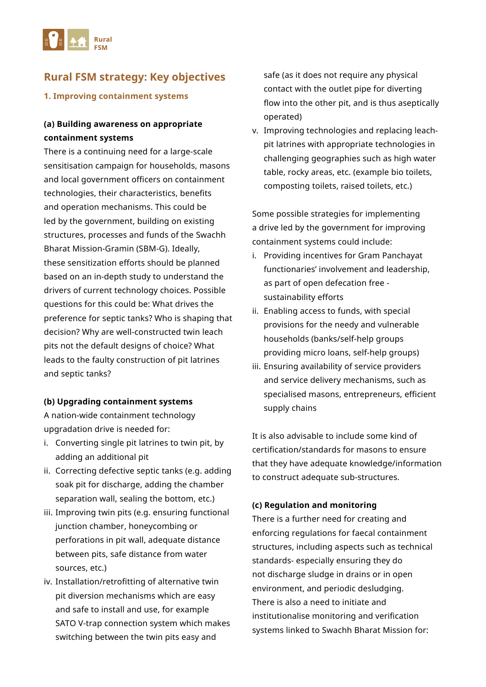

## **Rural FSM strategy: Key objectives**

#### **1. Improving containment systems**

## **(a) Building awareness on appropriate containment systems**

There is a continuing need for a large-scale sensitisation campaign for households, masons and local government officers on containment technologies, their characteristics, benefits and operation mechanisms. This could be led by the government, building on existing structures, processes and funds of the Swachh Bharat Mission-Gramin (SBM-G). Ideally, these sensitization efforts should be planned based on an in-depth study to understand the drivers of current technology choices. Possible questions for this could be: What drives the preference for septic tanks? Who is shaping that decision? Why are well-constructed twin leach pits not the default designs of choice? What leads to the faulty construction of pit latrines and septic tanks?

#### **(b) Upgrading containment systems**

A nation-wide containment technology upgradation drive is needed for:

- i. Converting single pit latrines to twin pit, by adding an additional pit
- ii. Correcting defective septic tanks (e.g. adding soak pit for discharge, adding the chamber separation wall, sealing the bottom, etc.)
- iii. Improving twin pits (e.g. ensuring functional junction chamber, honeycombing or perforations in pit wall, adequate distance between pits, safe distance from water sources, etc.)
- iv. Installation/retrofitting of alternative twin pit diversion mechanisms which are easy and safe to install and use, for example SATO V-trap connection system which makes switching between the twin pits easy and

safe (as it does not require any physical contact with the outlet pipe for diverting flow into the other pit, and is thus aseptically operated)

v. Improving technologies and replacing leachpit latrines with appropriate technologies in challenging geographies such as high water table, rocky areas, etc. (example bio toilets, composting toilets, raised toilets, etc.)

Some possible strategies for implementing a drive led by the government for improving containment systems could include:

- i. Providing incentives for Gram Panchayat functionaries' involvement and leadership, as part of open defecation free sustainability efforts
- ii. Enabling access to funds, with special provisions for the needy and vulnerable households (banks/self-help groups providing micro loans, self-help groups)
- iii. Ensuring availability of service providers and service delivery mechanisms, such as specialised masons, entrepreneurs, efficient supply chains

It is also advisable to include some kind of certification/standards for masons to ensure that they have adequate knowledge/information to construct adequate sub-structures.

#### **(c) Regulation and monitoring**

There is a further need for creating and enforcing regulations for faecal containment structures, including aspects such as technical standards- especially ensuring they do not discharge sludge in drains or in open environment, and periodic desludging. There is also a need to initiate and institutionalise monitoring and verification systems linked to Swachh Bharat Mission for: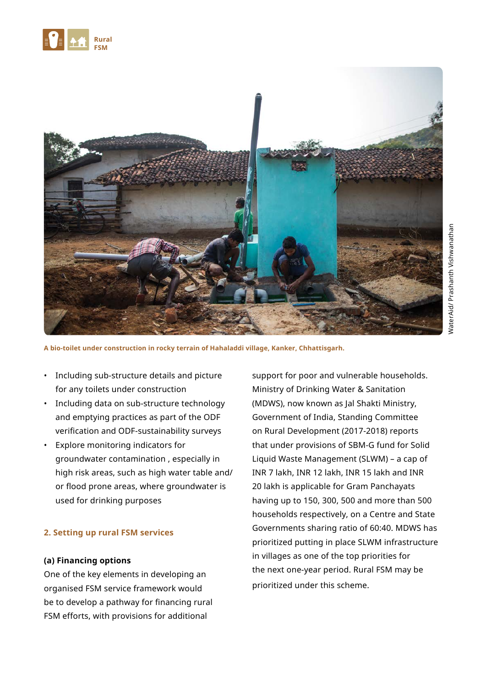



**A bio-toilet under construction in rocky terrain of Hahaladdi village, Kanker, Chhattisgarh.**

- Including sub-structure details and picture for any toilets under construction
- Including data on sub-structure technology and emptying practices as part of the ODF verification and ODF-sustainability surveys
- Explore monitoring indicators for groundwater contamination , especially in high risk areas, such as high water table and/ or flood prone areas, where groundwater is used for drinking purposes

#### **2. Setting up rural FSM services**

#### **(a) Financing options**

One of the key elements in developing an organised FSM service framework would be to develop a pathway for financing rural FSM efforts, with provisions for additional

support for poor and vulnerable households. Ministry of Drinking Water & Sanitation (MDWS), now known as Jal Shakti Ministry, Government of India, Standing Committee on Rural Development (2017-2018) reports that under provisions of SBM-G fund for Solid Liquid Waste Management (SLWM) – a cap of INR 7 lakh, INR 12 lakh, INR 15 lakh and INR 20 lakh is applicable for Gram Panchayats having up to 150, 300, 500 and more than 500 households respectively, on a Centre and State Governments sharing ratio of 60:40. MDWS has prioritized putting in place SLWM infrastructure in villages as one of the top priorities for the next one-year period. Rural FSM may be prioritized under this scheme.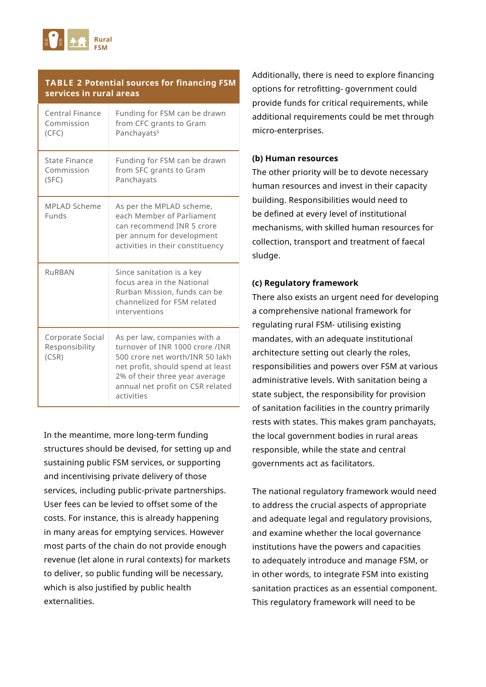

#### **TABLE 2 Potential sources for financing FSM services in rural areas**

| Central Finance<br>Commission<br>(CFC)      | Funding for FSM can be drawn<br>from CFC grants to Gram<br>Panchayats <sup>6</sup>                                                                                                                                          |  |  |  |
|---------------------------------------------|-----------------------------------------------------------------------------------------------------------------------------------------------------------------------------------------------------------------------------|--|--|--|
| State Finance<br>Commission<br>(SFC)        | Funding for FSM can be drawn<br>from SFC grants to Gram<br>Panchayats                                                                                                                                                       |  |  |  |
| <b>MPLAD Scheme</b><br><b>Funds</b>         | As per the MPLAD scheme,<br>each Member of Parliament<br>can recommend INR 5 crore<br>per annum for development<br>activities in their constituency                                                                         |  |  |  |
| <b>RURBAN</b>                               | Since sanitation is a key<br>focus area in the National<br>Rurban Mission, funds can be<br>channelized for FSM related<br>interventions                                                                                     |  |  |  |
| Corporate Social<br>Responsibility<br>(CSR) | As per law, companies with a<br>turnover of INR 1000 crore /INR<br>500 crore net worth/INR 50 lakh<br>net profit, should spend at least<br>2% of their three year average<br>annual net profit on CSR related<br>activities |  |  |  |

In the meantime, more long-term funding structures should be devised, for setting up and sustaining public FSM services, or supporting and incentivising private delivery of those services, including public-private partnerships. User fees can be levied to offset some of the costs. For instance, this is already happening in many areas for emptying services. However most parts of the chain do not provide enough revenue (let alone in rural contexts) for markets to deliver, so public funding will be necessary, which is also justified by public health externalities.

Additionally, there is need to explore financing options for retrofitting- government could provide funds for critical requirements, while additional requirements could be met through micro-enterprises.

#### **(b) Human resources**

The other priority will be to devote necessary human resources and invest in their capacity building. Responsibilities would need to be defined at every level of institutional mechanisms, with skilled human resources for collection, transport and treatment of faecal sludge.

#### **(c) Regulatory framework**

There also exists an urgent need for developing a comprehensive national framework for regulating rural FSM- utilising existing mandates, with an adequate institutional architecture setting out clearly the roles, responsibilities and powers over FSM at various administrative levels. With sanitation being a state subject, the responsibility for provision of sanitation facilities in the country primarily rests with states. This makes gram panchayats, the local government bodies in rural areas responsible, while the state and central governments act as facilitators.

The national regulatory framework would need to address the crucial aspects of appropriate and adequate legal and regulatory provisions, and examine whether the local governance institutions have the powers and capacities to adequately introduce and manage FSM, or in other words, to integrate FSM into existing sanitation practices as an essential component. This regulatory framework will need to be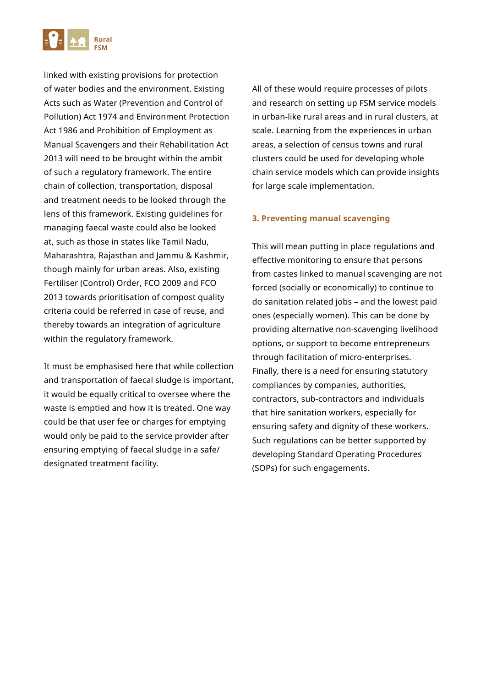

linked with existing provisions for protection of water bodies and the environment. Existing Acts such as Water (Prevention and Control of Pollution) Act 1974 and Environment Protection Act 1986 and Prohibition of Employment as Manual Scavengers and their Rehabilitation Act 2013 will need to be brought within the ambit of such a regulatory framework. The entire chain of collection, transportation, disposal and treatment needs to be looked through the lens of this framework. Existing guidelines for managing faecal waste could also be looked at, such as those in states like Tamil Nadu, Maharashtra, Rajasthan and Jammu & Kashmir, though mainly for urban areas. Also, existing Fertiliser (Control) Order, FCO 2009 and FCO 2013 towards prioritisation of compost quality criteria could be referred in case of reuse, and thereby towards an integration of agriculture within the regulatory framework.

It must be emphasised here that while collection and transportation of faecal sludge is important, it would be equally critical to oversee where the waste is emptied and how it is treated. One way could be that user fee or charges for emptying would only be paid to the service provider after ensuring emptying of faecal sludge in a safe/ designated treatment facility.

All of these would require processes of pilots and research on setting up FSM service models in urban-like rural areas and in rural clusters, at scale. Learning from the experiences in urban areas, a selection of census towns and rural clusters could be used for developing whole chain service models which can provide insights for large scale implementation.

#### **3. Preventing manual scavenging**

This will mean putting in place regulations and effective monitoring to ensure that persons from castes linked to manual scavenging are not forced (socially or economically) to continue to do sanitation related jobs – and the lowest paid ones (especially women). This can be done by providing alternative non-scavenging livelihood options, or support to become entrepreneurs through facilitation of micro-enterprises. Finally, there is a need for ensuring statutory compliances by companies, authorities, contractors, sub-contractors and individuals that hire sanitation workers, especially for ensuring safety and dignity of these workers. Such regulations can be better supported by developing Standard Operating Procedures (SOPs) for such engagements.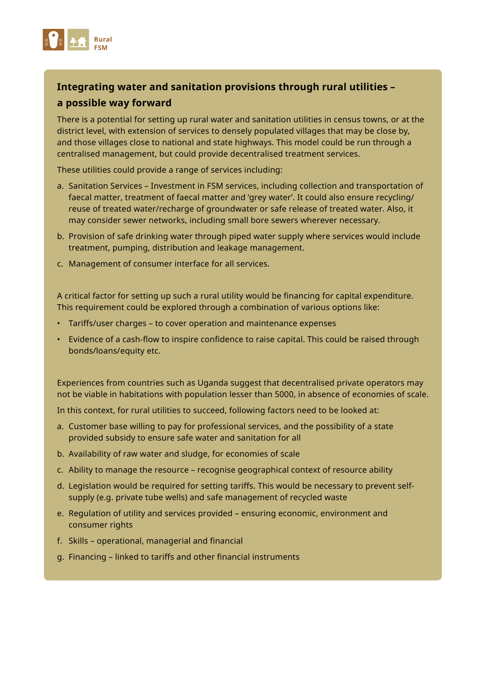

## **Integrating water and sanitation provisions through rural utilities –**

#### **a possible way forward**

There is a potential for setting up rural water and sanitation utilities in census towns, or at the district level, with extension of services to densely populated villages that may be close by, and those villages close to national and state highways. This model could be run through a centralised management, but could provide decentralised treatment services.

These utilities could provide a range of services including:

- a. Sanitation Services Investment in FSM services, including collection and transportation of faecal matter, treatment of faecal matter and 'grey water'. It could also ensure recycling/ reuse of treated water/recharge of groundwater or safe release of treated water. Also, it may consider sewer networks, including small bore sewers wherever necessary.
- b. Provision of safe drinking water through piped water supply where services would include treatment, pumping, distribution and leakage management.
- c. Management of consumer interface for all services.

A critical factor for setting up such a rural utility would be financing for capital expenditure. This requirement could be explored through a combination of various options like:

- Tariffs/user charges to cover operation and maintenance expenses
- Evidence of a cash-flow to inspire confidence to raise capital. This could be raised through bonds/loans/equity etc.

Experiences from countries such as Uganda suggest that decentralised private operators may not be viable in habitations with population lesser than 5000, in absence of economies of scale.

In this context, for rural utilities to succeed, following factors need to be looked at:

- a. Customer base willing to pay for professional services, and the possibility of a state provided subsidy to ensure safe water and sanitation for all
- b. Availability of raw water and sludge, for economies of scale
- c. Ability to manage the resource recognise geographical context of resource ability
- d. Legislation would be required for setting tariffs. This would be necessary to prevent selfsupply (e.g. private tube wells) and safe management of recycled waste
- e. Regulation of utility and services provided ensuring economic, environment and consumer rights
- f. Skills operational, managerial and financial
- g. Financing linked to tariffs and other financial instruments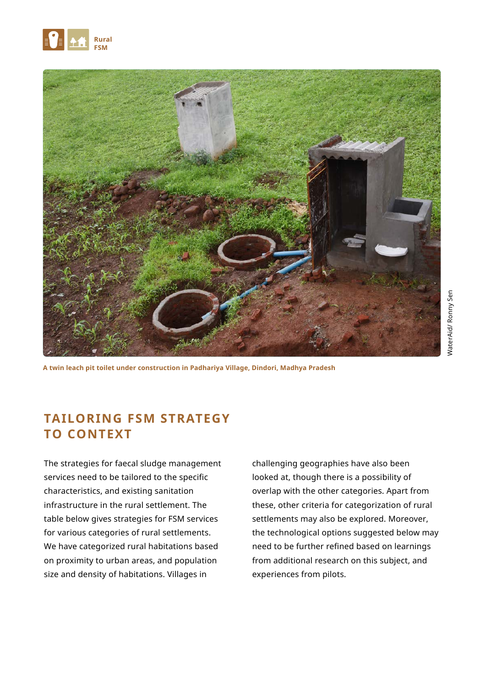



**A twin leach pit toilet under construction in Padhariya Village, Dindori, Madhya Pradesh**

# NaterAid/Ronny Sen WaterAid/ Ronny Sen

# **TAILORING FSM STRATEGY TO CONTEXT**

The strategies for faecal sludge management services need to be tailored to the specific characteristics, and existing sanitation infrastructure in the rural settlement. The table below gives strategies for FSM services for various categories of rural settlements. We have categorized rural habitations based on proximity to urban areas, and population size and density of habitations. Villages in

challenging geographies have also been looked at, though there is a possibility of overlap with the other categories. Apart from these, other criteria for categorization of rural settlements may also be explored. Moreover, the technological options suggested below may need to be further refined based on learnings from additional research on this subject, and experiences from pilots.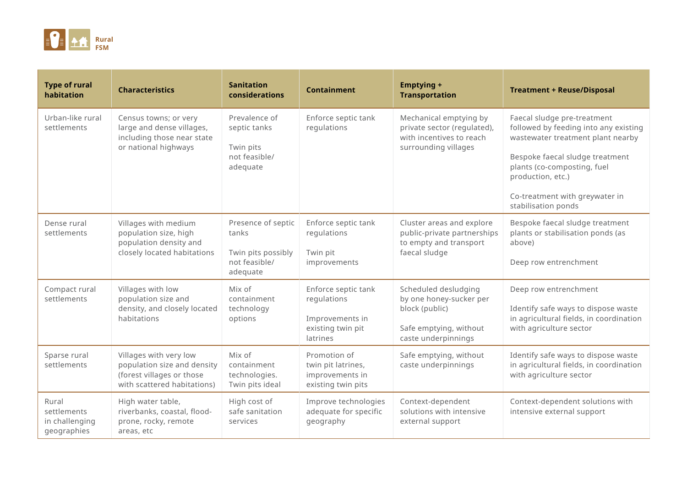

| <b>Type of rural</b><br>habitation                    | <b>Characteristics</b>                                                                                            | <b>Sanitation</b><br>considerations                                            | <b>Containment</b>                                                                     | <b>Emptying +</b><br><b>Transportation</b>                                                                         | <b>Treatment + Reuse/Disposal</b>                                                                                                                                                                                                                         |
|-------------------------------------------------------|-------------------------------------------------------------------------------------------------------------------|--------------------------------------------------------------------------------|----------------------------------------------------------------------------------------|--------------------------------------------------------------------------------------------------------------------|-----------------------------------------------------------------------------------------------------------------------------------------------------------------------------------------------------------------------------------------------------------|
| Urban-like rural<br>settlements                       | Census towns; or very<br>large and dense villages,<br>including those near state<br>or national highways          | Prevalence of<br>septic tanks<br>Twin pits<br>not feasible/<br>adequate        | Enforce septic tank<br>regulations                                                     | Mechanical emptying by<br>private sector (regulated),<br>with incentives to reach<br>surrounding villages          | Faecal sludge pre-treatment<br>followed by feeding into any existing<br>wastewater treatment plant nearby<br>Bespoke faecal sludge treatment<br>plants (co-composting, fuel<br>production, etc.)<br>Co-treatment with greywater in<br>stabilisation ponds |
| Dense rural<br>settlements                            | Villages with medium<br>population size, high<br>population density and<br>closely located habitations            | Presence of septic<br>tanks<br>Twin pits possibly<br>not feasible/<br>adequate | Enforce septic tank<br>regulations<br>Twin pit<br>improvements                         | Cluster areas and explore<br>public-private partnerships<br>to empty and transport<br>faecal sludge                | Bespoke faecal sludge treatment<br>plants or stabilisation ponds (as<br>above)<br>Deep row entrenchment                                                                                                                                                   |
| Compact rural<br>settlements                          | Villages with low<br>population size and<br>density, and closely located<br>habitations                           | Mix of<br>containment<br>technology<br>options                                 | Enforce septic tank<br>regulations<br>Improvements in<br>existing twin pit<br>latrines | Scheduled desludging<br>by one honey-sucker per<br>block (public)<br>Safe emptying, without<br>caste underpinnings | Deep row entrenchment<br>Identify safe ways to dispose waste<br>in agricultural fields, in coordination<br>with agriculture sector                                                                                                                        |
| Sparse rural<br>settlements                           | Villages with very low<br>population size and density<br>(forest villages or those<br>with scattered habitations) | Mix of<br>containment<br>technologies.<br>Twin pits ideal                      | Promotion of<br>twin pit latrines,<br>improvements in<br>existing twin pits            | Safe emptying, without<br>caste underpinnings                                                                      | Identify safe ways to dispose waste<br>in agricultural fields, in coordination<br>with agriculture sector                                                                                                                                                 |
| Rural<br>settlements<br>in challenging<br>geographies | High water table,<br>riverbanks, coastal, flood-<br>prone, rocky, remote<br>areas, etc                            | High cost of<br>safe sanitation<br>services                                    | Improve technologies<br>adequate for specific<br>geography                             | Context-dependent<br>solutions with intensive<br>external support                                                  | Context-dependent solutions with<br>intensive external support                                                                                                                                                                                            |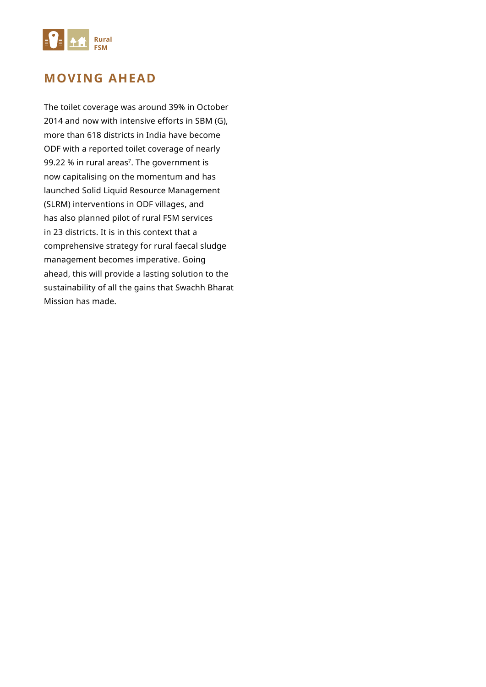

# **MOVING AHEAD**

The toilet coverage was around 39% in October 2014 and now with intensive efforts in SBM (G), more than 618 districts in India have become ODF with a reported toilet coverage of nearly 99.22 % in rural areas<sup>7</sup>. The government is now capitalising on the momentum and has launched Solid Liquid Resource Management (SLRM) interventions in ODF villages, and has also planned pilot of rural FSM services in 23 districts. It is in this context that a comprehensive strategy for rural faecal sludge management becomes imperative. Going ahead, this will provide a lasting solution to the sustainability of all the gains that Swachh Bharat Mission has made.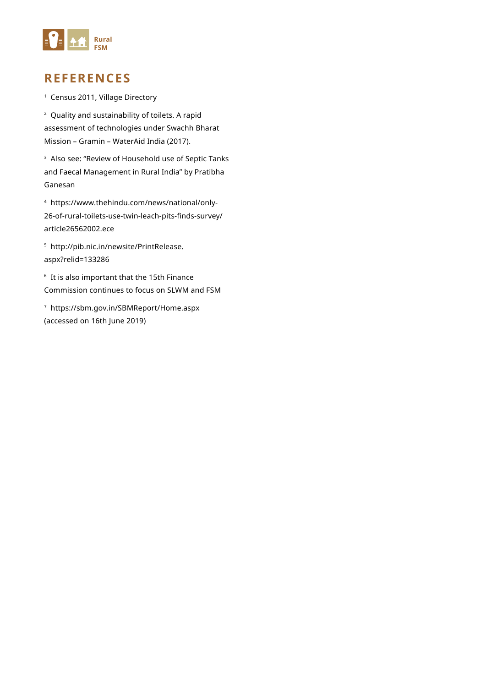

# **REFERENCES**

1 Census 2011, Village Directory

2 Quality and sustainability of toilets. A rapid assessment of technologies under Swachh Bharat Mission – Gramin – WaterAid India (2017).

<sup>3</sup> Also see: "Review of Household use of Septic Tanks and Faecal Management in Rural India" by Pratibha Ganesan

4 https://www.thehindu.com/news/national/only-26-of-rural-toilets-use-twin-leach-pits-finds-survey/ article26562002.ece

5 http://pib.nic.in/newsite/PrintRelease. aspx?relid=133286

6 It is also important that the 15th Finance Commission continues to focus on SLWM and FSM

7 https://sbm.gov.in/SBMReport/Home.aspx (accessed on 16th June 2019)